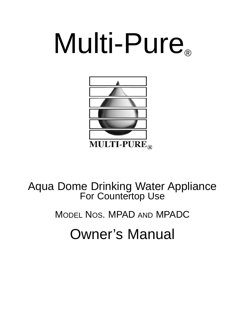# Multi-Pure®



Aqua Dome Drinking Water Appliance For Countertop Use

MODEL NOS. MPAD AND MPADC

Owner's Manual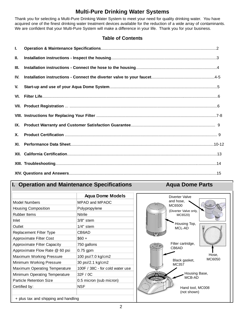## **Multi-Pure Drinking Water Systems**

Thank you for selecting a Multi-Pure Drinking Water System to meet your need for quality drinking water. You have acquired one of the finest drinking water treatment devices available for the reduction of a wide array of contaminants. We are confident that your Multi-Pure System will make a difference in your life. Thank you for your business.

#### **Table of Contents**

| L.   |  |
|------|--|
| Ш.   |  |
| III. |  |
| IV.  |  |
| V.   |  |
|      |  |
|      |  |
|      |  |
|      |  |
| Х.   |  |
|      |  |
|      |  |
|      |  |
|      |  |

## **I. Operation and Maintenance Specifications The Company Aqua Dome Parts**

|                                      | <b>Agua Dome Models</b>         |  |  |
|--------------------------------------|---------------------------------|--|--|
| Model Numbers                        | MPAD and MPADC                  |  |  |
| <b>Housing Composition</b>           | Polypropylene                   |  |  |
| <b>Rubber Items</b>                  | Nitrile                         |  |  |
| Inlet                                | $3/8"$ stem                     |  |  |
| Outlet                               | $1/4"$ stem                     |  |  |
| Replacement Filter Type              | CB6AD                           |  |  |
| <b>Approximate Filter Cost</b>       | $$60 +$                         |  |  |
| Approximate Filter Capacity          | 750 gallons                     |  |  |
| Approximate Flow Rate @ 60 psi       | $0.75$ gpm                      |  |  |
| Maximum Working Pressure             | 100 psi/7.0 kg/cm2              |  |  |
| Minimum Working Pressure             | 30 psi/2.1 kg/cm2               |  |  |
| Maximum Operating Temperature        | 100F / 38C - for cold water use |  |  |
| Minimum Operating Temperature        | 32F / 0C                        |  |  |
| <b>Particle Retention Size</b>       | 0.5 micron (sub micron)         |  |  |
| Certified by:                        | NSF                             |  |  |
|                                      |                                 |  |  |
| + plus tax and shipping and handling |                                 |  |  |

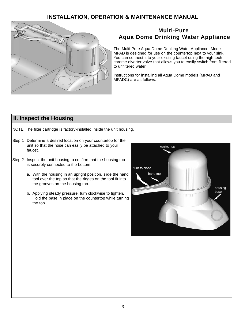## **INSTALLATION, OPERATION & MAINTENANCE MANUAL**



## **Multi-Pure Aqua Dome Drinking Water Appliance**

The Multi-Pure Aqua Dome Drinking Water Appliance, Model MPAD is designed for use on the countertop next to your sink. You can connect it to your existing faucet using the high-tech chrome diverter valve that allows you to easily switch from filtered to unfiltered water.

Instructions for installing all Aqua Dome models (MPAD and MPADC) are as follows.

## **II. Inspect the Housing**

NOTE: The filter cartridge is factory-installed inside the unit housing.

- Step 1 Determine a desired location on your countertop for the unit so that the hose can easily be attached to your faucet.
- Step 2 Inspect the unit housing to confirm that the housing top is securely connected to the bottom.
	- a. With the housing in an upright position, slide the hand tool over the top so that the ridges on the tool fit into the grooves on the housing top.
	- b. Applying steady pressure, turn clockwise to tighten. Hold the base in place on the countertop while turning the top.

![](_page_2_Picture_11.jpeg)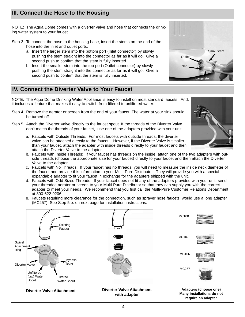## **III. Connect the Hose to the Housing**

NOTE: The Aqua Dome comes with a diverter valve and hose that connects the drinking water system to your faucet.

- Step 3 To connect the hose to the housing base, insert the stems on the end of the hose into the inlet and outlet ports.
	- a. Insert the larger stem into the bottom port (Inlet connector) by slowly pushing the stem straight into the connector as far as it will go. Give a second push to confirm that the stem is fully inserted.
	- b. Insert the smaller stem into the top port (Outlet connector) by slowly pushing the stem straight into the connector as far as it will go. Give a second push to confirm that the stem is fully inserted.

![](_page_3_Picture_5.jpeg)

NOTE: The Aqua Dome Drinking Water Appliance is easy to install on most standard faucets. And, it includes a feature that makes it easy to switch from filtered to unfiltered water.

- Step 4 Remove the aerator or screen from the end of your faucet. The water at your sink should be turned off.
- Step 5 Attach the Diverter Valve directly to the faucet spout. If the threads of the Diverter Valve don't match the threads of your faucet, use one of the adapters provided with your unit.
	- a. Faucets with Outside Threads: For most faucets with outside threads, the diverter valve can be attached directly to the faucet. However, if the Diverter Valve is smaller than your faucet, attach the adapter with inside threads directly to your faucet and then attach the Diverter Valve to the adapter.
	- b. Faucets with Inside Threads: If your faucet has threads on the inside, attach one of the two adapters with outside threads (choose the appropriate size for your faucet) directly to your faucet and then attach the Diverter Valve to the adapter.
	- c. Faucets with No Threads: If your faucet has no threads, you will need to measure the inside neck diameter of the faucet and provide this information to your Multi-Pure Distributor. They will provide you with a special expandable adapter to fit your faucet in exchange for the adapters shipped with the unit.
	- d. Faucets with Odd Sized Threads: If your faucet does not fit any of the adapters provided with your unit, send your threaded aerator or screen to your Multi-Pure Distributor so that they can supply you with the correct adapter to meet your needs. We recommend that you first call the Multi-Pure Customer Relations Department at 800-622-9206.
	- e. Faucets requiring more clearance for the connection, such as sprayer hose faucets, would use a long adapter (MC257). See Step 5.e. on next page for installation instructions.

![](_page_3_Figure_14.jpeg)

![](_page_3_Picture_16.jpeg)

**Diverter Valve Attachment Diverter Valve Attachment with adapter**

![](_page_3_Picture_18.jpeg)

![](_page_3_Picture_19.jpeg)

Large stem

Small stem

**Outlet** 

Inlet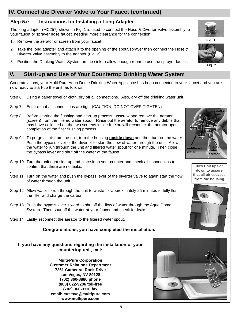## **IV. Connect the Diverter Valve to Your Faucet (continued)**

## **Step 5.e Instructions for Installing a Long Adapter**

The long adapter (MC257) shown in Fig. 1 is used to connect the Hose & Diverter Valve assembly to your faucet or sprayer hose faucet, needing more clearance for the connection.

- 1. Remove the aerator or screen from your faucet.
- 2. Take the long adapter and attach it to the opening of the spout/sprayer then connect the Hose & Diverter Valve assembly to the adapter (Fig. 2).
- 3. Position the Drinking Water System on the sink to allow enough room to use the sprayer faucet.

## **V. Start-up and Use of Your Countertop Drinking Water System**

Congratulations, your Multi-Pure Aqua Dome Drinking Water Appliance has been connected to your faucet and you are now ready to start-up the unit, as follows:

- Step 6 Using a paper towel or cloth, dry off all connections. Also, dry off the drinking water unit.
- Step 7 Ensure that all connections are tight (CAUTION: DO NOT OVER TIGHTEN).
- Step 8 Before starting the flushing and start-up process, unscrew and remove the aerator (screen) from the filtered water spout. Rinse out the aerator to remove any debris that may have collected on the two screens inside it. You will reconnect the aerator upon completion of the filter flushing process.
- Step 9 To purge all air from the unit, turn the housing **upside down** and then turn on the water. Push the bypass lever of the diverter to start the flow of water through the unit. Allow the water to run through the unit and filtered water spout for one minute. Then close the bypass lever and shut off the water at the faucet.
- Step 10 Turn the unit right side up and place it on your counter and check all connections to confirm that there are no leaks.
- Step 11 Turn on the water and push the bypass lever of the diverter valve to again start the flow of water through the unit.
- Step 12 Allow water to run through the unit to waste for approximately 25 minutes to fully flush the filter and charge the carbon.
- Step 13 Push the bypass lever inward to shutoff the flow of water through the Aqua Dome System. Then shut off the water at your faucet and check for leaks.
- Step 14 Lastly, reconnect the aerator to the filtered water spout.

.

#### **Congratulations, you have completed the installation.**

#### **If you have any questions regarding the installation of your countertop unit, call:**

**Multi-Pure Corporation Customer Relations Department 7251 Cathedral Rock Drive Las Vegas, NV 89128 (702) 360-8880 phone (800) 622-9206 toll-free (702) 360-3110 fax email: custsvc@multipure.com www.multipure.com**

![](_page_4_Picture_20.jpeg)

![](_page_4_Picture_21.jpeg)

![](_page_4_Picture_22.jpeg)

![](_page_4_Picture_23.jpeg)

![](_page_4_Picture_24.jpeg)

![](_page_4_Picture_25.jpeg)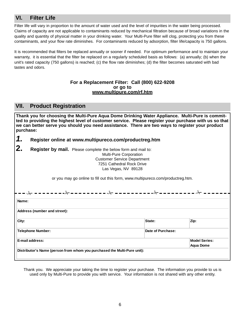## **VI. Filter Life**

Filter life will vary in proportion to the amount of water used and the level of impurities in the water being processed. Claims of capacity are not applicable to contaminants reduced by mechanical filtration because of broad variations in the quality and quantity of physical matter in your drinking water. Your Multi-Pure filter will clog, protecting you from these contaminants, and your flow rate diminishes. For contaminants reduced by adsorption, filter life/capacity is 750 gallons.

It is recommended that filters be replaced annually or sooner if needed. For optimum performance and to maintain your warranty, it is essential that the filter be replaced on a regularly scheduled basis as follows: (a) annually; (b) when the unit's rated capacity (750 gallons) is reached; (c) the flow rate diminishes; (d) the filter becomes saturated with bad tastes and odors.

#### **For a Replacement Filter: Call (800) 622-9208 or go to www.multipure.com/rf.htm**

## **VII. Product Registration**

**Thank you for choosing the Multi-Pure Aqua Dome Drinking Water Appliance. Multi-Pure is committed to providing the highest level of customer service. Please register your purchase with us so that we can better serve you should you need assistance. There are two ways to register your product purchase:**

- *1.* **Register online at www.multipureco.com/productreg.htm**
- **2. Register by mail.** Please complete the below form and mail to:

|                              | <b>Multi-Pure Corporation</b><br><b>Customer Service Department</b>             |                   |                      |
|------------------------------|---------------------------------------------------------------------------------|-------------------|----------------------|
|                              | 7251 Cathedral Rock Drive                                                       |                   |                      |
|                              | Las Vegas, NV 89128                                                             |                   |                      |
|                              |                                                                                 |                   |                      |
|                              | or you may go online to fill out this form, www.multipureco.com/productreg.htm. |                   |                      |
|                              |                                                                                 |                   |                      |
|                              |                                                                                 |                   |                      |
| Name:                        |                                                                                 |                   |                      |
| Address (number and street): |                                                                                 |                   |                      |
| City:                        |                                                                                 | State:            | Zip:                 |
| Telephone Number:            |                                                                                 | Date of Purchase: |                      |
| E-mail address:              |                                                                                 |                   | <b>Model Series:</b> |
|                              |                                                                                 |                   | <b>Agua Dome</b>     |
|                              | Distributor's Name (person from whom you purchased the Multi-Pure unit):        |                   |                      |
|                              |                                                                                 |                   |                      |

Thank you. We appreciate your taking the time to register your purchase. The information you provide to us is used only by Multi-Pure to provide you with service. Your information is not shared with any other entity.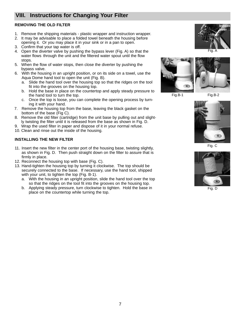## **VIII. Instructions for Changing Your Filter**

#### **REMOVING THE OLD FILTER**

- 1. Remove the shipping materials plastic wrapper and instruction wrapper.
- 2. It may be advisable to place a folded towel beneath the housing before opening it. Or you may place it in your sink or in a pan to open.
- 3. Confirm that your tap water is off.
- 4. Open the diverter valve by pushing the bypass lever (Fig. A) so that the water flows through the unit and the filtered water spout until the flow stops.
- 5. When the flow of water stops, then close the diverter by pushing the bypass valve.
- 6. With the housing in an upright position, or on its side on a towel, use the Aqua Dome hand tool to open the unit (Fig. B).
	- a. Slide the hand tool over the housing top so that the ridges on the tool fit into the grooves on the housing top.
	- b. Hold the base in place on the countertop and apply steady pressure to the hand tool to turn the top.
	- c. Once the top is loose, you can complete the opening process by turning it with your hand.
- 7. Remove the housing top from the base, leaving the black gasket on the bottom of the base (Fig C).
- 8. Remove the old filter (cartridge) from the unit base by pulling out and slightly twisting the filter until it is released from the base as shown in Fig. D.
- 9. Wrap the used filter in paper and dispose of it in your normal refuse.
- 10. Clean and rinse out the inside of the housing.

#### **INSTALLING THE NEW FILTER**

- 11. Insert the new filter in the center port of the housing base, twisting slightly, as shown in Fig. D. Then push straight down on the filter to assure that is firmly in place.
- 12. Reconnect the housing top with base (Fig. C).
- 13. Hand-tighten the housing top by turning it clockwise. The top should be securely connected to the base. If necessary, use the hand tool, shipped with your unit, to tighten the top (Fig. B-1).
	- a. With the housing in an upright position, slide the hand tool over the top so that the ridges on the tool fit into the grooves on the housing top.
	- b. Applying steady pressure, turn clockwise to tighten. Hold the base in place on the countertop while turning the top.

![](_page_6_Picture_21.jpeg)

Fig. A

![](_page_6_Picture_23.jpeg)

Fig.B-1 Fig.B-2

![](_page_6_Picture_26.jpeg)

Fig. C

![](_page_6_Picture_28.jpeg)

Fig. D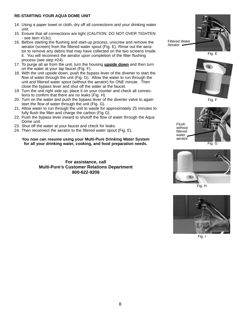#### **RE-STARTING YOUR AQUA DOME UNIT**

- 14. Using a paper towel or cloth, dry off all connections and your drinking water unit.
- 15. Ensure that all connections are tight (CAUTION: DO NOT OVER TIGHTEN - see item #13c).
- 16. Before starting the flushing and start-up process, unscrew and remove the aerator (screen) from the filtered water spout (Fig. E). Rinse out the aerator to remove any debris that may have collected on the two screens inside it. You will reconnect the aerator upon completion of the filter flushing process (see step #24).
- 17. To purge all air from the unit, turn the housing **upside down** and then turn on the water at your tap faucet (Fig. F).
- 18. With the unit upside down, push the bypass lever of the diverter to start the flow of water through the unit (Fig. G). Allow the water to run through the unit and filtered water spout (without the aerator) for ONE minute. Then close the bypass lever and shut off the water at the faucet.
- 19. Turn the unit right side up, place it on your counter and check all connections to confirm that there are no leaks (Fig. H).
- 20. Turn on the water and push the bypass lever of the diverter valve to again start the flow of water through the unit (Fig. G).
- 21. Allow water to run through the unit to waste for approximately 25 minutes to fully flush the filter and charge the carbon (Fig G).
- 22. Push the bypass lever inward to shutoff the flow of water through the Aqua Dome unit.
- 23. Shut off the water at your faucet and check for leaks.
- 24. Then reconnect the aerator to the filtered water spout (Fig. E).

#### **You now can resume using your Multi-Pure Drinking Water System for all your drinking water, cooking, and food preparation needs.**

**For assistance, call Multi-Pure's Customer Relations Department 800-622-9206**

![](_page_7_Picture_14.jpeg)

Filtered Water Aerator

Fig. E

![](_page_7_Picture_17.jpeg)

Fig. F

![](_page_7_Picture_19.jpeg)

![](_page_7_Picture_20.jpeg)

Fig. G

![](_page_7_Picture_22.jpeg)

Fig. H

![](_page_7_Picture_24.jpeg)

Fig. I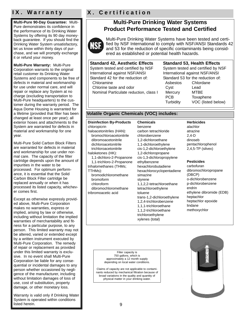**Multi-Pure 90-Day Guarantee:** Multi-Pure demonstrates its confidence in the performance of its Drinking Water Systems by offering its 90 day moneyback guarantee. If you should find the Drinking Water System unsatisfactory, let us know within thirty days of purchase, and we will promptly exchange it or refund your money.

**Multi-Pure Warranty:** Multi-Pure Corporation warrants to the original retail customer its Drinking Water Systems and components to be free of defects in material and workmanship for use under normal care, and will repair or replace any System at no charge (excluding transportation to Multi-Pure headquarters) to the customer during the warranty period. The Aqua Dome Housing is warranted for a lifetime (provided that filter has been changed at least once per year); all exterior hoses and attachments to the System are warranted for defects in material and workmanship for one year.

Multi-Pure Solid Carbon Block Filters are warranted for defects in material and workmanship for use under normal care. The capacity of the filter cartridge depends upon the amount of impurities in the water to be processed. For optimum performance, it is essential that the Solid Carbon Block Filter cartridge be replaced annually or when it has processed its listed capacity, whichever comes first.

Except as otherwise expressly provided above, Multi-Pure Corporation makes no warranties, express or implied, arising by law or otherwise, including without limitation the implied warranties of merchantability and fitness for a particular purpose, to any person. This limited warranty may not be altered, varied or extended except by a written instrument executed by Multi-Pure Corporation. The remedy of repair or replacement as provided under this limited warranty is exclusive. In no event shall Multi-Pure Corporation be liable for any consequential or incidental damages to any person whether occasioned by negligence of the manufacturer, including without limitation damages of loss of use, cost of substitution, property damage, or other monetary loss.

Warranty is valid only if Drinking Water System is operated within conditions listed herein.

## **IX. Warranty X. Certification**

## **Multi-Pure Drinking Water Systems Product Performance Tested and Certified**

![](_page_8_Picture_8.jpeg)

Multi-Pure Drinking Water Systems have been tested and certified by NSF International to comply with NSF/ANSI Standards 42 and 53 for the reduction of specific contaminants being considered as established or potential health hazards.

**Standard 42, Aesthetic Effects** System tested and certified by NSF International against NSF/ANSI Standard 42 for the reduction of: Chloramine Chlorine taste and odor Nominal Particulate reduction, class I

## **Standard 53, Health Effects**

System tested and certified by NSF International against NSF/ANSI Standard 53 for the reduction of: Asbestos Chlordane Cyst Lead Mercury MTBE PCB Toxaphene Turbidity VOC (listed below)

#### **Volatile Organic Chemicals (VOC) includes:**

**Disinfection By-Products** chloropicrin haloacetonitriles (HAN): bromochloroacetonitrile dibromoacetonitrile dichloroacetonitrile trichloroacetonitrile haloketones (HK): 1,1-dichloro-2-Propanone 1,1-trichloro-2-Propanone trihalomethanes (THMs; TTHMs): bromodichloromethane bromoform chloroform dibromochloromethane tribromoacetic acid

**Chemicals** benzene carbon tetrachloride chlorobenzene 1,2-dichloroethane 1,1-dichloroethylene cis-1,2-dichloroethylene 1,2-dichloropropane cis-1,3-dichloropropylene ethylbenzene hexachlorobutadiene hexachlorocyclopentadiene simazine styrene 1,1,2,2-tetrachloroethane tetrachloroethylene toluene trans-1,2-dichloroethylene 1,2,4-trichlorobenzene 1,1,1-trichloroethane 1,1,2-trichloroethane trichloroethylene xylenes (total)

#### **Herbicides**

alachlor atrazine 2,4-D dinoseb pentachlorophenol 2,4,5-TP (silvex)

#### **Pesticides**

carbofuran dibromochloropropane (DBCP) o-dichlorobenzene p-dichlorobenzene endrin ethylene dibromide (EDB) heptachlor heptachlor epoxide lindane methoxychlor

Filter capacity is 750 gallons, which is approximately a 12 month supply depending on local water conditions.

Claims of capacity are not applicable to contaminants reduced by mechanical filtration because of broad variations in the quality and quantity of physical matter in your drinking water.

![](_page_8_Picture_22.jpeg)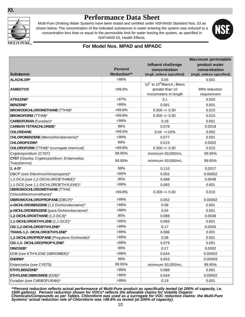#### **XI.**

![](_page_9_Picture_1.jpeg)

# **Performance Data Sheet**

Multi-Pure Drinking Water Systems have been tested and certified under NSF/ANSI Standard Nos. 53 as shown below. The concentration of the indicated substances in water entering the system was reduced to a concentration less than or equal to the permissible limit for water leaving the system, as specified in NSF/ANSI 53, Health Effects.

![](_page_9_Picture_4.jpeg)

#### **For Model Nos. MPAD and MPADC**

|                                                           |                    |                                          | <b>Maximum permissible</b><br>product water |
|-----------------------------------------------------------|--------------------|------------------------------------------|---------------------------------------------|
|                                                           | <b>Percent</b>     | <b>Influent challenge</b>                | concentration                               |
| <b>Substance</b>                                          | <b>Reduction**</b> | concentration<br>(mg/L unless specified) | (mg/L unless specified)                     |
| <b>ALACHLOR*</b>                                          | >98%               | 0.05                                     | 0.001                                       |
|                                                           |                    | $10^7$ to $10^8$ fibers/L; fibers        |                                             |
| <b>ASBESTOS</b>                                           | >99.9%             | greater than 10                          | 99% reduction                               |
|                                                           |                    | micrometers in length                    | requirement                                 |
| <b>ATRAZINE*</b>                                          | >97%               | 0.1                                      | 0.003                                       |
| <b>BENZENE*</b>                                           | >99%               | 0.081                                    | 0.001                                       |
| <b>BROMODICHLOROMETHANE (TTHM)*</b>                       | >99.8%             | $0.300 +/- 0.30$                         | 0.015                                       |
| <b>BROMOFORM</b> (TTHM)*                                  | >99.8%             | $0.300 +/- 0.30$                         | 0.015                                       |
| <b>CARBOFURAN</b> (Furadan)*                              | >99%               | 0.19                                     | 0.001                                       |
| <b>CARBON TETRACHLORIDE*</b>                              | 98%                | 0.078                                    | 0.0018                                      |
| <b>CHLORDANE</b>                                          | $>99.5\%$          | $0.04 +10%$                              | 0.002                                       |
| CHLOROBENZENE (Monochlorobenzene)*                        | >99%               | 0.077                                    | 0.001                                       |
| <b>CHLOROPICRIN*</b>                                      | 99%                | 0.015                                    | 0.0002                                      |
| <b>CHLOROFORM</b> (TTHM)* (surrogate chemical)            | >99.8%             | $0.300 +/- 0.30$                         | 0.015                                       |
| Cryptosporidium (CYST)                                    | 99.95%             | minimum 50,000/mL                        | 99.95%                                      |
| CYST (Giardia; Cryptosporidium; Entamoeba;<br>Toxoplasma) | 99.95%             | minimum 50,000/mL                        | 99.95%                                      |
| $2, 4-D*$                                                 | 98%                | 0.110                                    | 0.0017                                      |
| DBCP (see Dibromochloropropane)*                          | >99%               | 0.052                                    | 0.00002                                     |
| 1,2-DCA (see 1,2-DICHLOROETHANE)*                         | 95%                | 0.088                                    | 0.0048                                      |
| 1,1-DCE (see 1,1-DICHLOROETHYLENE)*                       | >99%               | 0.083                                    | 0.001                                       |
| <b>DIBROMOCHLOROMETHANE (TTHM;</b>                        | >99.8%             | $0.300 + 0.30$                           | 0.015                                       |
| Chlorodibromomethane)*                                    |                    |                                          |                                             |
| DIBROMOCHLOROPROPANE (DBCP)*                              | >99%               | 0.052                                    | 0.00002                                     |
| o-DICHLOROBENZENE (1,2 Dichlorobenzene)*                  | >99%               | 0.08                                     | 0.001                                       |
| p-DICHLOROBENZENE (para-Dichlorobenzene)*                 | >98%               | 0.04                                     | 0.001                                       |
| 1,2-DICHLOROETHANE (1,2-DCA)*                             | 95%                | 0.088                                    | 0.0048                                      |
| 1,1-DICHLOROETHYLENE (1,1-DCE)*                           | >99%               | 0.083                                    | 0.001                                       |
| CIS-1,2-DICHLOROETHYLENE*                                 | >99%               | 0.17                                     | 0.0005                                      |
| TRANS-1,2- DICHLOROETHYLENE*                              | >99%               | 0.086                                    | 0.001                                       |
| 1,2-DICHLOROPROPANE (Propylene Dichloride)*               | >99%               | 0.08                                     | 0.001                                       |
| CIS-1,3- DICHLOROPROPYLENE*                               | >99%               | 0.079                                    | 0.001                                       |
| <b>DINOSEB*</b>                                           | 99%                | 0.17                                     | 0.0002                                      |
| EDB (see ETHYLENE DIBROMIDE)*                             | >99%               | 0.044                                    | 0.00002                                     |
| <b>ENDRIN*</b>                                            | 99%                | 0.053                                    | 0.00059                                     |
| Entamoeba (see CYSTS)                                     | 99.95%             | minimum 50,000/mL                        | 99.95%                                      |
| ETHYLBENZENE*                                             | >99%               | 0.088                                    | 0.001                                       |
| <b>ETHYLENE DIBROMIDE (EDB)*</b>                          | $>99\%$            | 0.044                                    | 0.00002                                     |
| Furadan (see CARBOFURAN)*                                 | >99%               | 0.19                                     | 0.001                                       |

*\*\*Percent reduction reflects actual performance of Multi-Pure product as specifically tested (at 200% of capacity, i.e. 1500 gallons). Percent reduction shown for VOCs\* reflects the allowable claims for Volatile Organic Chemicals/Compounds as per Tables. Chloroform was used as a surrogate for VOC reduction claims: the Multi-Pure Systems' actual reduction rate of Chloroform was >99.8% as tested (at 200% of capacity).*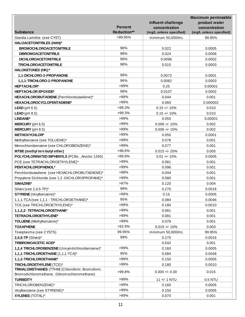|                                                  | <b>Percent</b><br><b>Reduction**</b> | <b>Influent challenge</b><br>concentration | <b>Maximum permissible</b><br>product water<br>concentration |
|--------------------------------------------------|--------------------------------------|--------------------------------------------|--------------------------------------------------------------|
| <b>Substance</b>                                 |                                      | (mg/L unless specified)                    | (mg/L unless specified)                                      |
| Giardia Lamblia (see CYST)                       | >99.95%                              | minimum 50,000/mL                          | 99.95%                                                       |
| <b>HALOACETONITRILES (HAN)*</b>                  |                                      |                                            |                                                              |
| <b>BROMOCHLOROACETONITRILE</b>                   | 98%                                  | 0.022                                      | 0.0005                                                       |
| <b>DIBROMOACETONITRILE</b>                       | 98%                                  | 0.024                                      | 0.0006                                                       |
| <b>DICHLOROACETONITRILE</b>                      | 98%                                  | 0.0096                                     | 0.0002                                                       |
| <b>TRICHLOROACETONITRILE</b>                     | 98%                                  | 0.015                                      | 0.0003                                                       |
| <b>HALOKETONES (HK):*</b>                        |                                      |                                            |                                                              |
| 1,1-DICHLORO-2-PROPANONE                         | 99%                                  | 0.0072                                     | 0.0001                                                       |
| 1,1,1-TRICHLORO-2-PROPANONE                      | 96%                                  | 0.0082                                     | 0.0003                                                       |
| <b>HEPTACHLOR*</b>                               | >99%                                 | 0.25                                       | 0.00001                                                      |
| <b>HEPTACHLOR EPOXIDE*</b>                       | 98%                                  | 0.0107                                     | 0.0002                                                       |
| HEXACHLOROBUTADIENE (Perchlorobutadiene)*        | >98%                                 | 0.044                                      | 0.001                                                        |
| <b>HEXACHLOROCYCLOPENTADIENE*</b>                | >99%                                 | 0.060                                      | 0.000002                                                     |
| $LEAD$ (pH 6.5)                                  | $>99.3\%$                            | $0.15 +/- 10%$                             | 0.010                                                        |
| LEAD ( $pH 8.5$ )                                | $>99.3\%$                            | $0.15 +/- 10%$                             | 0.010                                                        |
| LINDANE*                                         | >99%                                 | 0.055                                      | 0.00001                                                      |
| <b>MERCURY</b> ( $pH$ 6.5)                       | >99%                                 | $0.006 +/- 10%$                            | 0.002                                                        |
| MERCURY (pH 8.5)                                 | >99%                                 | $0.006 +/- 10%$                            | 0.002                                                        |
| <b>METHOXYCHLOR*</b>                             | >99%                                 | 0.050                                      | 0.0001                                                       |
| Methylbenzene (see TOLUENE)*                     | >99%                                 | 0.078                                      | 0.001                                                        |
| Monochlorobenzene (see CHLOROBENZENE)*           | >99%                                 | 0.077                                      | 0.001                                                        |
| MTBE (methyl tert-butyl ether)                   | >96.6%                               | $0.015 + - 20%$                            | 0.005                                                        |
| POLYCHLORINATED BIPHENYLS (PCBs, Aroclor 1260)   | >99.9%                               | $0.01 +/- 10%$                             | 0.0005                                                       |
| PCE (see TETRACHLOROETHYLENE)*                   | >99%                                 | 0.081                                      | 0.001                                                        |
| PENTACHLOROPHENOL*                               | >99%                                 | 0.096                                      | 0.001                                                        |
| Perchlorobutadiene (see HEXACHLOROBUTADIENE)*    | >98%                                 | 0.044                                      | 0.001                                                        |
| Propylene Dichloride (see 1,2 -DICHLOROPROPANE)* | >99%                                 | 0.080                                      | 0.001                                                        |
| SIMAZINE*                                        | >97%                                 | 0.120                                      | 0.004                                                        |
| Silvex (see 2,4,5-TP)*                           | 99%                                  | 0.270                                      | 0.0016                                                       |
| <b>STYRENE</b> (Vinylbenzene)*                   | >99%                                 | 0.15                                       | 0.0005                                                       |
| 1,1,1-TCA (see 1,1,1 - TRICHLOROETHANE)*         | 95%                                  | 0.084                                      | 0.0046                                                       |
| TCE (see TRICHLOROETHYLENE)*                     | >99%                                 | 0.180                                      | 0.0010                                                       |
| 1,1,2,2- TETRACHLOROETHANE*                      | >99%                                 | 0.081                                      | 0.001                                                        |
| TETRACHLOROETHYLENE*                             | >99%                                 | 0.081                                      | 0.001                                                        |
| TOLUENE (Methylbenzene)*                         | >99%                                 | 0.078                                      | 0.001                                                        |
| <b>TOXAPHENE</b>                                 | >92.9%                               | $0.015 +/- 10%$                            | 0.003                                                        |
| Toxoplasma (see CYSTS)                           | 99.95%                               | minimum 50,000/mL                          | 99.95%                                                       |
| $2,4,5$ -TP (Silvex)*                            | 99%                                  | 0.270                                      | 0.0016                                                       |
| TRIBROMOACETIC ACID*                             |                                      | 0.042                                      | 0.001                                                        |
| 1,2,4 TRICHLOROBENZENE (Unsymtrichlorobenzene)*  | >99%                                 | 0.160                                      | 0.0005                                                       |
| 1,1,1-TRICHLOROETHANE (1,1,1-TCA)*               | 95%                                  | 0.084                                      | 0.0046                                                       |
| 1,1,2-TRICHLOROETHANE*                           | >99%                                 | 0.150                                      | 0.0005                                                       |
| TRICHLOROETHYLENE (TCE)*                         | >99%                                 | 0.180                                      | 0.0010                                                       |
| TRIHALOMETHANES (TTHM) (Chloroform; Bromoform;   |                                      |                                            |                                                              |
| Bromodichloromethane; Dibromochloromethane)      | >99.8%                               | $0.300 +/- 0.30$                           | 0.015                                                        |
| <b>TURBIDITY</b>                                 | >99%                                 | 11 +/- 1 NTU                               | 0.5 NTU                                                      |
| TRICHLOROBENZENE)*                               | >99%                                 | 0.160                                      | 0.0005                                                       |
| Vinylbenzene (see STYRENE)*                      | >99%                                 | 0.150                                      | 0.0005                                                       |
| <b>XYLENES (TOTAL)*</b>                          | >99%                                 | 0.070                                      | 0.001                                                        |
|                                                  |                                      |                                            |                                                              |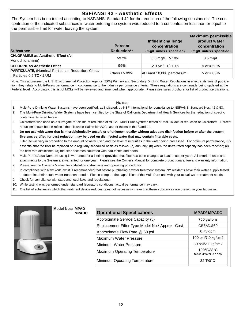#### **NSF/ANSI 42 - Aesthetic Effects**

The System has been tested according to NSF/ANSI Standard 42 for the reduction of the following substances. The concentration of the indicated substances in water entering the system was reduced to a concentration less than or equal to the permissible limit for water leaving the system.

| <b>Substance</b>                                                                        | <b>Percent</b><br><b>Reduction**</b> | Influent challenge<br>concentration<br>(mg/L unless specified) | Maximum permissible<br>product water<br>concentration<br>(mg/L unless specified) |
|-----------------------------------------------------------------------------------------|--------------------------------------|----------------------------------------------------------------|----------------------------------------------------------------------------------|
| <b>CHLORAMINE as Aesthetic Effect (As)</b><br>Monochloramine)                           | $>97\%$                              | 3.0 mg/L $+/- 10\%$                                            | $0.5$ mg/L                                                                       |
| <b>CHLORINE as Aesthetic Effect</b>                                                     | 99%                                  | 2.0 Mg/L +/- 10%                                               | $>$ or = 50%                                                                     |
| <b>PARTICULATE, (Nominal Particulate Reduction, Class</b><br>II, Particles 0.5 TO <1 UM | Class $I > 99\%$                     | At Least 10,000 particles/mL                                   | $>$ or = 85%                                                                     |

Note: This addresses the U.S. Environmental Protection Agency (EPA) Primary and Secondary Drinking Water Regulations in effect at its time of publication, they relate to Multi-Pure's performance in conformance to the industry performance criteria. These regulations are continually being updated at the Federal level. Accordingly, this list of MCLs will be reviewed and amended when appropriate. Please see sales brochure for list of product certifications.

#### **NOTES:**

- 1. Multi-Pure Drinking Water Systems have been certified, as indicated, by NSF International for compliance to NSF/ANSI Standard Nos. 42 & 53.
- 2. The Multi-Pure Drinking Water Systems have been certified by the State of California Department of Health Services for the reduction of specific contaminants listed herein.
- 3. Chloroform was used as a surrogate for claims of reduction of VOCs. Multi-Pure Systems tested at >99.8% actual reduction of Chloroform. Percent reduction shown herein reflects the allowable claims for VOCs as per tables in the Standard.
- 4. **Do not use with water that is microbiologically unsafe or of unknown quality without adequate disinfection before or after the system. Systems certified for cyst reduction may be used on disinfected water that may contain filterable cysts.**
- 5. Filter life will vary in proportion to the amount of water used and the level of impurities in the water being processed. For optimum performance, it is essential that the filter be replaced on a regularly scheduled basis as follows: (a) annually; (b) when the unit's rated capacity has been reached; (c) the flow rate diminishes; (d) the filter becomes saturated with bad tastes and odors.
- 6. Multi-Pure's Aqua Dome Housing is warranted for a lifetime (provided that filter has been changed at least once per year). All exterior hoses and attachments to the System are warranted for one year. Please see the Owner's Manual for complete product guarantee and warranty information.
- 7. Please see the Owner's Manual for installation instructions and operating procedures.
- 8. In compliance with New York law, it is recommended that before purchasing a water treatment system, NY residents have their water supply tested to determine their actual water treatment needs. Please compare the capabilities of the Multi-Pure unit with your actual water treatment needs.
- 9. Check for compliance with state and local laws and regulations.
- 10. While testing was performed under standard laboratory conditions, actual performance may vary.
- 11. The list of substances which the treatment device reduces does not necessarily mean that these substances are present in your tap water.

![](_page_11_Picture_16.jpeg)

**Model Nos: MPAD MPADC**

| <b>Operational Specifications</b>               | <b>MPAD/ MPADC</b>                                         |
|-------------------------------------------------|------------------------------------------------------------|
| Approximate Service Capacity (5)                | 750 gallons                                                |
| Replacement Filter Type Model No./ Approx. Cost | CB6AD/\$60                                                 |
| Approximate Flow Rate @ 60 psi                  | $0.75$ gpm                                                 |
| Maximum Water Pressure                          | 100 psi/7.0 kg/cm2                                         |
| Minimum Water Pressure                          | 30 psi/2.1 kg/cm2                                          |
| Maximum Operating Temperature                   | $100^{\circ}$ F/38 $^{\circ}$ C<br>for cold water use only |
| Minimum Operating Temperature                   | $32^{\circ}F/0^{\circ}C$                                   |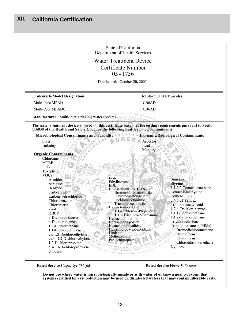|                                                                                                                | Department of Health Services                      |                                            |
|----------------------------------------------------------------------------------------------------------------|----------------------------------------------------|--------------------------------------------|
|                                                                                                                | <b>Water Treatment Device</b>                      |                                            |
|                                                                                                                | Certificate Number                                 |                                            |
|                                                                                                                | $05 - 1736$                                        |                                            |
|                                                                                                                | Date Issued: October 20, 2005                      |                                            |
|                                                                                                                |                                                    |                                            |
| <b>Trademark/Model Designation</b>                                                                             | <b>Replacement Element(s)</b>                      |                                            |
| Multi-Pure MPAD                                                                                                | CB6AD                                              |                                            |
| Multi-Pure MPADC                                                                                               | CB6AD                                              |                                            |
| <b>Manufacturer:</b> Multi-Pure Drinking Water Systems                                                         |                                                    |                                            |
| The water treatment device(s) listed on this certificate have met the testing requirements pursuant to Section |                                                    |                                            |
| 116830 of the Health and Safety Code for the following health related contaminants:                            |                                                    |                                            |
| <b>Microbiological Contaminants and Turbidity</b>                                                              |                                                    | <b>Inorganic/Radiological Contaminants</b> |
| Cysts                                                                                                          | Asbestos                                           |                                            |
| Turbidity                                                                                                      | Lead<br>Mercury                                    |                                            |
| <b>Organic Contaminants</b>                                                                                    |                                                    |                                            |
| Chlordane                                                                                                      |                                                    |                                            |
| <b>MTBE</b>                                                                                                    |                                                    |                                            |
| <b>PCB</b>                                                                                                     |                                                    |                                            |
| Toxaphene                                                                                                      |                                                    |                                            |
| <b>VOCs</b>                                                                                                    |                                                    |                                            |
| Alachlor                                                                                                       | Endrin                                             | Simazine                                   |
| Atrazine                                                                                                       | Ethylbenzene                                       | Styrene                                    |
| Benzene                                                                                                        | EDB                                                | 1,1,2,2-Tetrachloroethane                  |
| Carbofuran                                                                                                     | Haloacetonitriles (HAN)<br>Bromochloroacetonitrile | Tetrachloroethylene                        |
| Carbon Tetrachloride                                                                                           | Dibromoacetonitrile                                | Toluene                                    |
| Chlorobenzene                                                                                                  | Dichloroacetonitrile                               | $2,4,5$ -TP (Silvex)                       |
| Chloropicrin                                                                                                   | Trichloroacetonitrile                              | Tribromoacetic Acid                        |
| $2,4-D$                                                                                                        | Haloketones (HK)                                   | 1,2,4-Trichlorobenzene                     |
| <b>DBCP</b>                                                                                                    | 1,1-Dichloro-2-Propanone                           | 1,1,1-Trichloroethane                      |
| o-Dichlorobenzene                                                                                              | 1,1,1-Trichloro-2-Propanone                        | 1,1,2-Trichloroethane                      |
| p-Dichlorobenzene                                                                                              | Heptachlor                                         | Trichloroethylene                          |
| 1,2-Dichloroethane                                                                                             | Heptachlor Epoxide<br>Hexachlorobutadiene          | Trihalomethanes (THMs)                     |
|                                                                                                                | Hexachlorocyclopentadiene                          | Bromodichloromethane                       |
| 1,1-Dichloroethylene                                                                                           | Lindane                                            |                                            |
| cis-1,2-Dichloroethylene                                                                                       | Methoxychlor                                       | <b>Bromoform</b>                           |
| trans-1,2-Dichloroethylene                                                                                     | Pentachlorophenol                                  | Chloroform                                 |
| 1,2-Dichloropropane                                                                                            |                                                    | Chlorodibromomethane                       |
| cis-1,3-Dichloropropylene<br>Dinoseb                                                                           |                                                    | Xylenes                                    |
|                                                                                                                |                                                    |                                            |
| <b>Rated Service Capacity: 750 gals</b>                                                                        |                                                    | Rated Service Flow: 0.75 gpm               |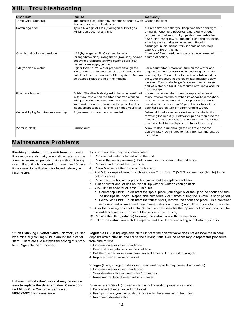## **XIII. Troubleshooting**

| <b>Problem</b>                      | Cause                                                                                                                                                                                                                                                                     | Remedy                                                                                                                                                                                                                                                                                                                                                                |
|-------------------------------------|---------------------------------------------------------------------------------------------------------------------------------------------------------------------------------------------------------------------------------------------------------------------------|-----------------------------------------------------------------------------------------------------------------------------------------------------------------------------------------------------------------------------------------------------------------------------------------------------------------------------------------------------------------------|
| Taste/Odor (general)                | The carbon block filter may become saturated with Change the filter<br>the taste and odors it adsorbs.                                                                                                                                                                    |                                                                                                                                                                                                                                                                                                                                                                       |
| Rotten egg odor                     | Typically a sign of H2S (hydrogen sulfide) gas<br>w hich can occur at any time.                                                                                                                                                                                           | It is recommended that you keep two filter cartridges<br>on hand. When one becomes saturated with odor,<br>remove it and allow it to dry upside (threaded-hole)<br>down on a paper tow el. The sulfur gas will dissipate,<br>allow ing the cartridge to be reused. Rotating<br>cartridges in this manner will, in some cases, help<br>extend the life of the filter.  |
| Odor & odd color on cartridge       | H2S (hydrogen sulfide) caused by iron<br>(orange/brow nish), manganese (blackish), and/or<br>decaying organisms (slimy/blotchy colors) can<br>cause rotten egg-type odor.                                                                                                 | Change of filter cartridge is the only recommended<br>course of action.                                                                                                                                                                                                                                                                                               |
| "Milky" color in water              | Higher than normal w ater pressure through the<br>System will create small bubbles. Air bubbles do<br>not effect the performance of the system. Air can<br>be trapped inside the lid of the housing.                                                                      | For a countertop installation, turn on the water and<br>engage the diverter valve w hile reducing the w ater<br>flow slightly. For a below the sink installation, adjust<br>the water pressure at the feedwater adapter below<br>the sink. Turn on the ledge faucet or diverter valve<br>and let water run for 3 to 5 minutes after installation or<br>filter change. |
| Flow rate is slow                   | Solids: The filter is designed to become restricted<br>in its flow rate when the filter becomes clogged<br>w ith particulate and other contaminants. When<br>your water flow rate slows to the point that it is<br>inconvenient to use, it is time to change your filter. | It is recommended that filters be replaced at least<br>every twelve months or when its capacity is reached,<br>whichever comes first. If water pressure is too low,<br>adjust water pressure to 60 psi. If other faucets or<br>sprinklers are on turn off other running water.                                                                                        |
| Water dripping from faucet assembly | Adjustment of water flow is needed.                                                                                                                                                                                                                                       | Below sink units - remove the faucet handle by first<br>removing the spout (pull straight up) and then slide the<br>handle off the faucet base. Then turn the small t-bar<br>about one half turn to tighten the faucet assembly.                                                                                                                                      |
| Water is black                      | Carbon dust                                                                                                                                                                                                                                                               | Allow water to run through the unit to waste for<br>approximately 20 minutes to flush the filter and charge<br>the carbon.                                                                                                                                                                                                                                            |

## **Maintenance Problems**

**Flushing / disinfecting the unit housing:** Multi-Pure recommends that you not allow water to sit in a unit for extended periods of time without it being used. If a unit is left unused for more than 10 days, it may need to be flushed/disinfected before you resume use.

- To flush a unit that may be contaminated:
- 1. Confirm that water is turned off to the unit.
- 2. Relieve the water pressure (if below sink unit) by opening the unit faucet.
- 3. Remove and discard the used filter.
- 4. Clean & rinse out the inside of the housing.
- 5. Add 5 to 7 drops of bleach, such as Clorox™ or Purex™ (5 ¼% sodium hypochlorite) to the bottom canister.
- 6. Reconnect the housing top and bottom without the replacement filter.
- 7. Turn on water and let unit housing fill up with the water/bleach solution.
- 8. Allow unit to soak for at least 30 minutes.
	- a. Countertop Units: To disinfect the spout, place your finger over the tip of the spout and turn the unit upside down. Repeat this procedure 2 or 3 times during the 30-minute soak period.
	- b. Below Sink Units: To disinfect the faucet spout, remove the spout and place it in a container with one-quart of water and bleach (use 5 drops of bleach) and allow to soak for 30 minutes.
- 9. After the housing has soaked for 30 minutes, disassemble the top and bottom and pour out the water/bleach solution. Rinse out the inside of the housing.
- 10. Replace the filter (cartridge) following the instructions with the new filter.
- 11. Follow the instructions with the replacement filter for reconnecting and flushing your unit.

**Vegetable Oil** (Using vegetable oil to lubricate the diverter valve does not dissolve the mineral deposits which build up and cause the sticking; thus it will be necessary to repeat this procedure from time to time)

- 1. Unscrew diverter valve from faucet.
- 2. Pour a little vegetable oil in the inlet hole.
- 3. Pull the diverter valve stem in/out several times to lubricate it thoroughly.
- 4. Replace diverter valve on faucet.

**Vinegar** (Using vinegar to dissolve the mineral deposits may cause discoloration)

- 1. Unscrew diverter valve from faucet.
- 2. Soak diverter valve in vinegar for 10 minutes.
- 3. Rinse and replace diverter valve on faucet.

#### **Diverter Stem Stuck (**If diverter stem is not operating properly - sticking)

1. Disconnect diverter valve from faucet.

- 2. Push pin in -- if you can push the pin easily, there was air in the tubing.
- 3. Reconnect diverter valve.

**If these methods don't work, it may be necessary to replace the diverter valve. Please contact Multi-Pure Customer Service at 800-622-9206 for assistance.**

**Stuck / Sticking Diverter Valve:** Normally caused by a mineral (calcium) buildup around the diverter stem. There are two methods for solving this prob-

lem (Vegetable Oil or Vinegar).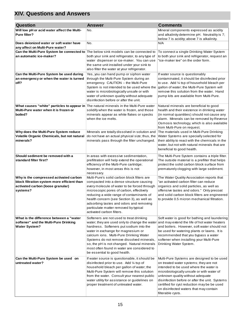## **XIV. Questions and Answers**

| <b>Question</b>                                                                                                                             | <b>Answer</b>                                                                                                                                                                                                                                                                                                                                                                                                                                 | <b>Comments</b>                                                                                                                                                                                                                                                                                                                                                                 |
|---------------------------------------------------------------------------------------------------------------------------------------------|-----------------------------------------------------------------------------------------------------------------------------------------------------------------------------------------------------------------------------------------------------------------------------------------------------------------------------------------------------------------------------------------------------------------------------------------------|---------------------------------------------------------------------------------------------------------------------------------------------------------------------------------------------------------------------------------------------------------------------------------------------------------------------------------------------------------------------------------|
| Will low pH or acid water affect the Multi-<br>Pure filter?                                                                                 | No.                                                                                                                                                                                                                                                                                                                                                                                                                                           | Mineral components expressed as acidity<br>and alkalinity determine pH. Neutrality is 7;<br>below 7 is acidity; above 7 is alkalinity.                                                                                                                                                                                                                                          |
| Does deionized water or soft water have<br>any affect on Multi-Pure water?                                                                  | No.                                                                                                                                                                                                                                                                                                                                                                                                                                           | N/A                                                                                                                                                                                                                                                                                                                                                                             |
| Can the Multi-Pure System be connected to The below sink models can be connected to<br>an automatic ice-maker?                              | both your sink and refrigerator, to any type of<br>water dispenser or ice-maker. You can use<br>the same unit installed under your sink to<br>also filter the water at your refrigerator.                                                                                                                                                                                                                                                     | To connect a single Drinking Water System<br>to both your sink and refrigerator, request an<br>"ice-maker tee" on the order form.                                                                                                                                                                                                                                               |
| Can the Multi-Pure System be used during<br>an emergency or when the water is turned<br>off?                                                | Yes, you can hand pump or siphon water<br>through the Multi-Pure System during an<br>emergency. CAUTION -- the Multi-Pure<br>System is not intended to be used where the<br>water is microbiologically unsafe or with<br>water of unknown quality without adequate<br>disinfection before or after the unit.                                                                                                                                  | If water source is questionably<br>contaminated, it should be disinfected prior<br>to use. Add 1/4 tsp of household bleach per<br>gallon of water; the Multi-Pure System will<br>remove this solution from the water. Hand<br>pump kits are available from Multi-Pure.                                                                                                          |
| What causes "white" particles to appear in The natural minerals in the Multi-Pure water<br>Multi-Pure water when it is frozen or<br>boiled? | solidify when the water is frozen, and those<br>minerals appear as white flakes or specks<br>when the ice melts.                                                                                                                                                                                                                                                                                                                              | Natural minerals are beneficial to good<br>health and their existence in drinking water<br>(in normal quantities) should not cause any<br>alarm. Minerals can be removed by Reverse<br>Osmosis technology, which is also available<br>from Multi-Pure on request.                                                                                                               |
| Why does the Multi-Pure System reduce<br>Volatile Organic Chemicals, but not natural<br>minerals?                                           | Minerals are totally dissolved in solution and<br>do not have an actual physical size; thus, the<br>minerals pass through the filter unchanged.                                                                                                                                                                                                                                                                                               | The materials used in Multi-Pure Drinking<br>Water Systems are specially selected for<br>their ability to react with the chemicals in the<br>water, but not with natural minerals that are<br>beneficial to good health.                                                                                                                                                        |
| Should sediment be removed with a<br>standard filter first?                                                                                 | In areas with excessive sedimentation,<br>prefiltration will help extend the operational<br>efficiency of the Multi-Pure cartridge;<br>however, in most areas this is not<br>necessary.                                                                                                                                                                                                                                                       | The Multi-Pure System contains a triple filter.<br>The outside material is a prefilter that helps<br>protect the solid carbon block surface from<br>prematurely clogging with large sediment.                                                                                                                                                                                   |
| Why is the compressed activated carbon<br>block filtration system more efficient than<br>activated carbon (loose granular)<br>systems?      | Multi-Pure's solid carbon block filters are<br>compacted into a dense structure causing<br>every molecule of water to be forced through<br>microscopic pores of carbon, effectively<br>reducing a wide range of contaminants of<br>health concern (see Section 3), as well as<br>adsorbing tastes and odors and removing<br>particulate matter removed by typical<br>activated carbon filters.                                                | The Water Quality Association reports that<br>"an activated carbon filter can reduce<br>organics and solid particles, as well as<br>offensive tastes and odors." Only precoat<br>and solid carbon block filters are engineered<br>to provide 0.5 micron mechanical filtration.                                                                                                  |
| What is the difference between a "water<br>softener" and the Multi-Pure Drinking<br><b>Water System?</b>                                    | Softeners are not used to treat drinking<br>water; they are used only to change the water and may extend the life of hot water heaters<br>hardness. Softeners put sodium into the<br>water in exchange for magnesium or<br>calcium ions. Multi-Pure Drinking Water<br>Systems do not remove dissolved minerals,<br>so, the pH is not changed. Natural minerals<br>most often found in water are considered to<br>be essential to good health. | Soft water is good for bathing and laundering<br>and boilers. However, soft water should not<br>be used for watering plants or lawns. It is<br>recommended that you bypass a water<br>softener when installing your Multi-Pure<br>Drinking Water System.                                                                                                                        |
| Can the Multi-Pure System be used on<br>untreated water?                                                                                    | If water source is questionable, it should be<br>disinfected prior to use. Add 1/4 tsp of<br>household bleach per gallon of water; the<br>Multi-Pure System will remove this solution<br>from the water. Consult your nearest public<br>water utility for assistance or guidelines on<br>proper treatment of untreated water.                                                                                                                 | Multi-Pure Systems are designed to be used<br>on treated water systems; they are not<br>intended to be used where the water is<br>microbiologically unsafe or with water of<br>unknown quality without adequate<br>disinfection before or after the unit. Systems<br>certified for cyst reduction may be be used<br>on disinfected waters that may contain<br>filterable cysts. |